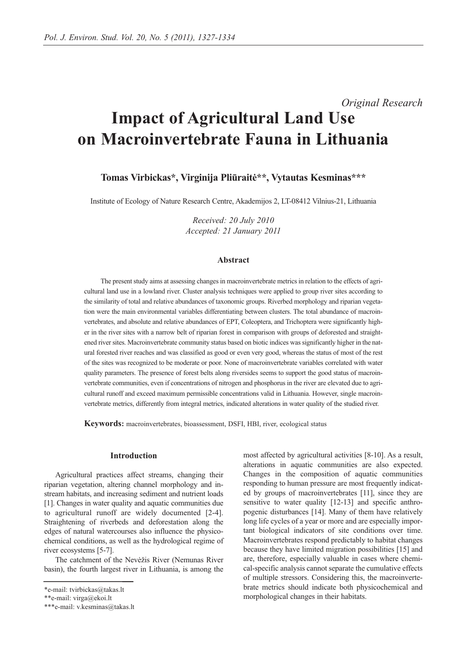# *Original Research* **Impact of Agricultural Land Use on Macroinvertebrate Fauna in Lithuania**

**Tomas Virbickas\*, Virginija Pliūraitė\*\*, Vytautas Kesminas\*\*\***

Institute of Ecology of Nature Research Centre, Akademijos 2, LT-08412 Vilnius-21, Lithuania

*Received: 20 July 2010 Accepted: 21 January 2011*

# **Abstract**

The present study aims at assessing changes in macroinvertebrate metrics in relation to the effects of agricultural land use in a lowland river. Cluster analysis techniques were applied to group river sites according to the similarity of total and relative abundances of taxonomic groups. Riverbed morphology and riparian vegetation were the main environmental variables differentiating between clusters. The total abundance of macroinvertebrates, and absolute and relative abundances of EPT, Coleoptera, and Trichoptera were significantly higher in the river sites with a narrow belt of riparian forest in comparison with groups of deforested and straightened river sites. Macroinvertebrate community status based on biotic indices was significantly higher in the natural forested river reaches and was classified as good or even very good, whereas the status of most of the rest of the sites was recognized to be moderate or poor. None of macroinvertebrate variables correlated with water quality parameters. The presence of forest belts along riversides seems to support the good status of macroinvertebrate communities, even if concentrations of nitrogen and phosphorus in the river are elevated due to agricultural runoff and exceed maximum permissible concentrations valid in Lithuania. However, single macroinvertebrate metrics, differently from integral metrics, indicated alterations in water quality of the studied river.

**Keywords:** macroinvertebrates, bioassessment, DSFI, HBI, river, ecological status

#### **Introduction**

Agricultural practices affect streams, changing their riparian vegetation, altering channel morphology and instream habitats, and increasing sediment and nutrient loads [1]. Changes in water quality and aquatic communities due to agricultural runoff are widely documented [2-4]. Straightening of riverbeds and deforestation along the edges of natural watercourses also influence the physicochemical conditions, as well as the hydrological regime of river ecosystems [5-7].

The catchment of the Nevėžis River (Nemunas River basin), the fourth largest river in Lithuania, is among the most affected by agricultural activities [8-10]. As a result, alterations in aquatic communities are also expected. Changes in the composition of aquatic communities responding to human pressure are most frequently indicated by groups of macroinvertebrates [11], since they are sensitive to water quality [12-13] and specific anthropogenic disturbances [14]. Many of them have relatively long life cycles of a year or more and are especially important biological indicators of site conditions over time. Macroinvertebrates respond predictably to habitat changes because they have limited migration possibilities [15] and are, therefore, especially valuable in cases where chemical-specific analysis cannot separate the cumulative effects of multiple stressors. Considering this, the macroinvertebrate metrics should indicate both physicochemical and morphological changes in their habitats.

<sup>\*</sup>e-mail: tvirbickas@takas.lt

<sup>\*\*</sup>e-mail: virga@ekoi.lt

<sup>\*\*\*</sup>e-mail: v.kesminas@takas.lt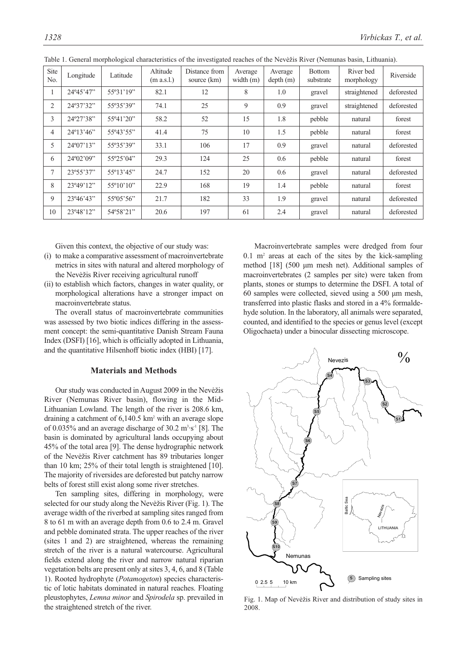| Site<br>No. | Longitude          | Latitude           | Altitude<br>(m a.s.l.) | Distance from<br>source (km) | Average<br>width $(m)$ | Average<br>depth(m) | <b>Bottom</b><br>substrate | River bed<br>morphology | Riverside  |
|-------------|--------------------|--------------------|------------------------|------------------------------|------------------------|---------------------|----------------------------|-------------------------|------------|
|             | 24°45'47"          | 55°31'19"          | 82.1                   | 12                           | 8                      | 1.0                 | gravel                     | straightened            | deforested |
| 2           | 24°37'32"          | 55°35'39"          | 74.1                   | 25                           | 9                      | 0.9                 | gravel                     | straightened            | deforested |
| 3           | 24°27'38"          | 55°41'20"          | 58.2                   | 52                           | 15                     | 1.8                 | pebble                     | natural                 | forest     |
| 4           | 24°13'46"          | 55°43'55"          | 41.4                   | 75                           | 10                     | 1.5                 | pebble                     | natural                 | forest     |
| 5           | $24^{\circ}07'13"$ | 55°35'39"          | 33.1                   | 106                          | 17                     | 0.9                 | gravel                     | natural                 | deforested |
| 6           | $24^{\circ}02'09"$ | 55°25'04"          | 29.3                   | 124                          | 25                     | 0.6                 | pebble                     | natural                 | forest     |
| 7           | 23°55'37"          | $55^{\circ}13'45"$ | 24.7                   | 152                          | 20                     | 0.6                 | gravel                     | natural                 | deforested |
| 8           | 23°49'12"          | $55^{\circ}10'10"$ | 22.9                   | 168                          | 19                     | 1.4                 | pebble                     | natural                 | forest     |
| 9           | 23°46'43"          | 55°05'56"          | 21.7                   | 182                          | 33                     | 1.9                 | gravel                     | natural                 | deforested |
| 10          | 23°48'12"          | 54°58'21"          | 20.6                   | 197                          | 61                     | 2.4                 | gravel                     | natural                 | deforested |

Table 1. General morphological characteristics of the investigated reaches of the Nevėžis River (Nemunas basin, Lithuania).

Given this context, the objective of our study was:

- (i) to make a comparative assessment of macroinvertebrate metrics in sites with natural and altered morphology of the Nevėžis River receiving agricultural runoff
- (ii) to establish which factors, changes in water quality, or morphological alterations have a stronger impact on macroinvertebrate status.

The overall status of macroinvertebrate communities was assessed by two biotic indices differing in the assessment concept: the semi-quantitative Danish Stream Fauna Index (DSFI) [16], which is officially adopted in Lithuania, and the quantitative Hilsenhoff biotic index (HBI) [17].

# **Materials and Methods**

Our study was conducted in August 2009 in the Nevėžis River (Nemunas River basin), flowing in the Mid-Lithuanian Lowland. The length of the river is 208.6 km, draining a catchment of 6,140.5 km2 with an average slope of 0.035% and an average discharge of 30.2  $m<sup>3</sup>·s<sup>-1</sup>$  [8]. The basin is dominated by agricultural lands occupying about 45% of the total area [9]. The dense hydrographic network of the Nevėžis River catchment has 89 tributaries longer than 10 km; 25% of their total length is straightened [10]. The majority of riversides are deforested but patchy narrow belts of forest still exist along some river stretches.

Ten sampling sites, differing in morphology, were selected for our study along the Nevėžis River (Fig. 1). The average width of the riverbed at sampling sites ranged from 8 to 61 m with an average depth from 0.6 to 2.4 m. Gravel and pebble dominated strata. The upper reaches of the river (sites 1 and 2) are straightened, whereas the remaining stretch of the river is a natural watercourse. Agricultural fields extend along the river and narrow natural riparian vegetation belts are present only at sites 3, 4, 6, and 8 (Table 1). Rooted hydrophyte (*Potamogeton*) species characteristic of lotic habitats dominated in natural reaches. Floating pleustophytes, *Lemna minor* and *Spirodela* sp. prevailed in the straightened stretch of the river.

Macroinvertebrate samples were dredged from four  $0.1$  m<sup>2</sup> areas at each of the sites by the kick-sampling method [18] (500 μm mesh net). Additional samples of macroinvertebrates (2 samples per site) were taken from plants, stones or stumps to determine the DSFI. A total of 60 samples were collected, sieved using a 500 μm mesh, transferred into plastic flasks and stored in a 4% formaldehyde solution. In the laboratory, all animals were separated, counted, and identified to the species or genus level (except Oligochaeta) under a binocular dissecting microscope.



Fig. 1. Map of Nevėžis River and distribution of study sites in 2008.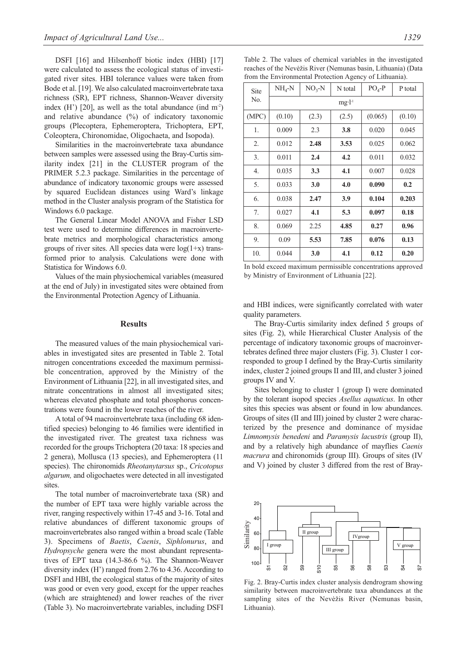DSFI [16] and Hilsenhoff biotic index (HBI) [17] were calculated to assess the ecological status of investigated river sites. HBI tolerance values were taken from Bode et al. [19]. We also calculated macroinvertebrate taxa richness (SR), EPT richness, Shannon-Weaver diversity index  $(H')$  [20], as well as the total abundance (ind m<sup>2</sup>) and relative abundance (%) of indicatory taxonomic groups (Plecoptera, Ephemeroptera, Trichoptera, EPT, Coleoptera, Chironomidae, Oligochaeta, and Isopoda).

Similarities in the macroinvertebrate taxa abundance between samples were assessed using the Bray-Curtis similarity index [21] in the CLUSTER program of the PRIMER 5.2.3 package. Similarities in the percentage of abundance of indicatory taxonomic groups were assessed by squared Euclidean distances using Ward's linkage method in the Cluster analysis program of the Statistica for Windows 6.0 package.

The General Linear Model ANOVA and Fisher LSD test were used to determine differences in macroinvertebrate metrics and morphological characteristics among groups of river sites. All species data were  $log(1+x)$  transformed prior to analysis. Calculations were done with Statistica for Windows 6.0.

Values of the main physiochemical variables (measured at the end of July) in investigated sites were obtained from the Environmental Protection Agency of Lithuania.

## **Results**

The measured values of the main physiochemical variables in investigated sites are presented in Table 2. Total nitrogen concentrations exceeded the maximum permissible concentration, approved by the Ministry of the Environment of Lithuania [22], in all investigated sites, and nitrate concentrations in almost all investigated sites; whereas elevated phosphate and total phosphorus concentrations were found in the lower reaches of the river.

A total of 94 macroinvertebrate taxa (including 68 identified species) belonging to 46 families were identified in the investigated river. The greatest taxa richness was recorded for the groups Trichoptera (20 taxa: 18 species and 2 genera), Mollusca (13 species), and Ephemeroptera (11 species). The chironomids *Rheotanytarsus* sp., *Cricotopus algarum,* and oligochaetes were detected in all investigated sites

The total number of macroinvertebrate taxa (SR) and the number of EPT taxa were highly variable across the river, ranging respectively within 17-45 and 3-16. Total and relative abundances of different taxonomic groups of macroinvertebrates also ranged within a broad scale (Table 3). Specimens of *Baetis*, *Caenis*, *Siphlonurus*, and *Hydropsyche* genera were the most abundant representatives of EPT taxa (14.3-86.6 %). The Shannon-Weaver diversity index (H') ranged from 2.76 to 4.36. According to DSFI and HBI, the ecological status of the majority of sites was good or even very good, except for the upper reaches (which are straightened) and lower reaches of the river (Table 3). No macroinvertebrate variables, including DSFI

Table 2. The values of chemical variables in the investigated reaches of the Nevėžis River (Nemunas basin, Lithuania) (Data from the Environmental Protection Agency of Lithuania).

| Site  | $NH4-N$  | $NO3-N$ | N total | $PO4-P$ | P total |  |  |  |  |
|-------|----------|---------|---------|---------|---------|--|--|--|--|
| No.   | $mg·l-1$ |         |         |         |         |  |  |  |  |
| (MPC) | (0.10)   | (2.3)   | (2.5)   | (0.065) | (0.10)  |  |  |  |  |
| 1.    | 0.009    | 2.3     | 3.8     | 0.020   | 0.045   |  |  |  |  |
| 2.    | 0.012    | 2.48    | 3.53    | 0.025   | 0.062   |  |  |  |  |
| 3.    | 0.011    | 2.4     | 4.2     | 0.011   | 0.032   |  |  |  |  |
| 4.    | 0.035    | 3.3     | 4.1     | 0.007   | 0.028   |  |  |  |  |
| 5.    | 0.033    | 3.0     | 4.0     | 0.090   | 0.2     |  |  |  |  |
| 6.    | 0.038    | 2.47    | 3.9     | 0.104   | 0.203   |  |  |  |  |
| 7.    | 0.027    | 4.1     | 5.3     | 0.097   | 0.18    |  |  |  |  |
| 8.    | 0.069    | 2.25    | 4.85    | 0.27    | 0.96    |  |  |  |  |
| 9.    | 0.09     | 5.53    | 7.85    | 0.076   | 0.13    |  |  |  |  |
| 10.   | 0.044    | 3.0     | 4.1     | 0.12    | 0.20    |  |  |  |  |

In bold exceed maximum permissible concentrations approved by Ministry of Environment of Lithuania [22].

and HBI indices, were significantly correlated with water quality parameters.

The Bray-Curtis similarity index defined 5 groups of sites (Fig. 2), while Hierarchical Cluster Analysis of the percentage of indicatory taxonomic groups of macroinvertebrates defined three major clusters (Fig. 3). Cluster 1 corresponded to group I defined by the Bray-Curtis similarity index, cluster 2 joined groups II and III, and cluster 3 joined groups IV and V.

Sites belonging to cluster 1 (group I) were dominated by the tolerant isopod species *Asellus aquaticus*. In other sites this species was absent or found in low abundances. Groups of sites (II and III) joined by cluster 2 were characterized by the presence and dominance of mysidae *Limnomysis benedeni* and *Paramysis lacustris* (group II), and by a relatively high abundance of mayflies *Caenis macrura* and chironomids (group III). Groups of sites (IV and V) joined by cluster 3 differed from the rest of Bray-



Fig. 2. Bray-Curtis index cluster analysis dendrogram showing similarity between macroinvertebrate taxa abundances at the sampling sites of the Nevėžis River (Nemunas basin,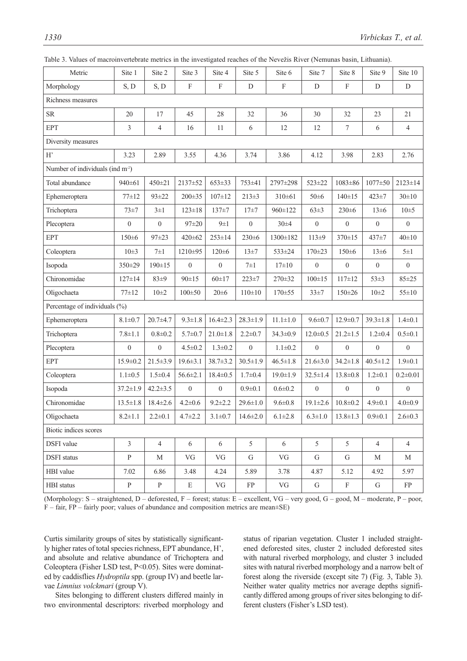| values of macromycricorate metrics in the investigated reaches of the inevezis Kryet (remunas basin, Enthuania). |                  |                  |                  |                           |                  |                           |                  |                           |                  |                  |
|------------------------------------------------------------------------------------------------------------------|------------------|------------------|------------------|---------------------------|------------------|---------------------------|------------------|---------------------------|------------------|------------------|
| Metric                                                                                                           | Site 1           | Site 2           | Site 3           | Site 4                    | Site 5           | Site 6                    | Site 7           | Site 8                    | Site 9           | Site 10          |
| Morphology                                                                                                       | S, D             | S, D             | $\mathbf F$      | $\boldsymbol{\mathrm{F}}$ | ${\rm D}$        | $\boldsymbol{\mathrm{F}}$ | ${\rm D}$        | $\boldsymbol{\mathrm{F}}$ | D                | ${\rm D}$        |
| Richness measures                                                                                                |                  |                  |                  |                           |                  |                           |                  |                           |                  |                  |
| ${\rm SR}$                                                                                                       | 20               | 17               | 45               | 28                        | 32               | 36                        | 30               | 32                        | 23               | 21               |
| <b>EPT</b>                                                                                                       | $\mathfrak{Z}$   | $\overline{4}$   | 16               | 11                        | 6                | 12                        | 12               | $\tau$                    | 6                | $\overline{4}$   |
| Diversity measures                                                                                               |                  |                  |                  |                           |                  |                           |                  |                           |                  |                  |
| $\mathbf{H}^{\prime}$                                                                                            | 3.23             | 2.89             | 3.55             | 4.36                      | 3.74             | 3.86                      | 4.12             | 3.98                      | 2.83             | 2.76             |
| Number of individuals (ind m <sup>2</sup> )                                                                      |                  |                  |                  |                           |                  |                           |                  |                           |                  |                  |
| Total abundance                                                                                                  | 940±61           | 450±21           | 2137±52          | 653±33                    | 753±41           | 2797±298                  | 523±22           | 1083±86                   | $1077 \pm 50$    | $2123 \pm 14$    |
| Ephemeroptera                                                                                                    | $77 \pm 12$      | $93 \pm 22$      | $200 \pm 35$     | $107 \pm 12$              | $213 \pm 3$      | $310\pm61$                | $50 \pm 6$       | $140 \pm 15$              | $423 \pm 7$      | $30 \pm 10$      |
| Trichoptera                                                                                                      | $73 + 7$         | $3\pm1$          | $123 \pm 18$     | $137 \pm 7$               | $17 + 7$         | 960±122                   | $63 + 3$         | $230 \pm 6$               | 13±6             | $10\pm5$         |
| Plecoptera                                                                                                       | $\boldsymbol{0}$ | $\boldsymbol{0}$ | $97 + 20$        | $9\pm1$                   | $\boldsymbol{0}$ | $30 + 4$                  | $\boldsymbol{0}$ | $\mathbf{0}$              | $\boldsymbol{0}$ | $\boldsymbol{0}$ |
| <b>EPT</b>                                                                                                       | $150 \pm 6$      | 97±23            | 420±62           | $253 \pm 14$              | $230 \pm 6$      | 1300±182                  | 113±9            | 370±15                    | 437±7            | $40 \pm 10$      |
| Coleoptera                                                                                                       | $10\pm3$         | $7\pm1$          | 1210±95          | $120 \pm 6$               | 13±7             | 533±24                    | $170 \pm 23$     | $150 \pm 6$               | 13±6             | $5\pm1$          |
| Isopoda                                                                                                          | 350±29           | 190±15           | $\boldsymbol{0}$ | $\overline{0}$            | $7\pm1$          | $17\pm10$                 | $\overline{0}$   | $\overline{0}$            | $\overline{0}$   | $\overline{0}$   |
| Chironomidae                                                                                                     | $127 \pm 14$     | $83+9$           | $90 \pm 15$      | $60 \pm 17$               | $223 \pm 7$      | 270±32                    | $100 \pm 15$     | $117 \pm 12$              | $53\pm3$         | $85 + 25$        |
| Oligochaeta                                                                                                      | $77 \pm 12$      | $10\pm2$         | $100\pm50$       | $20 \pm 6$                | $110\pm 10$      | 170±55                    | $33 + 7$         | 150±26                    | $10\pm 2$        | $55 \pm 10$      |
| Percentage of individuals (%)                                                                                    |                  |                  |                  |                           |                  |                           |                  |                           |                  |                  |
| Ephemeroptera                                                                                                    | $8.1 \pm 0.7$    | $20.7 + 4.7$     | $9.3 \pm 1.8$    | $16.4 \pm 2.3$            | $28.3 \pm 1.9$   | $11.1 \pm 1.0$            | $9.6 \pm 0.7$    | $12.9 \pm 0.7$            | $39.3 \pm 1.8$   | $1.4 \pm 0.1$    |
| Trichoptera                                                                                                      | $7.8 \pm 1.1$    | $0.8 + 0.2$      | $5.7 \pm 0.7$    | $21.0 \pm 1.8$            | $2.2 \pm 0.7$    | 34.3±0.9                  | $12.0 \pm 0.5$   | $21.2 \pm 1.5$            | $1.2 \pm 0.4$    | $0.5 \pm 0.1$    |
| Plecoptera                                                                                                       | $\overline{0}$   | $\boldsymbol{0}$ | $4.5 \pm 0.2$    | $1.3 \pm 0.2$             | $\mathbf{0}$     | $1.1 \pm 0.2$             | $\mathbf{0}$     | $\mathbf{0}$              | $\mathbf{0}$     | $\boldsymbol{0}$ |
| <b>EPT</b>                                                                                                       | $15.9 \pm 0.2$   | $21.5 \pm 3.9$   | $19.6 \pm 3.1$   | $38.7 \pm 3.2$            | $30.5 \pm 1.9$   | $46.5 \pm 1.8$            | $21.6 \pm 3.0$   | $34.2 \pm 1.8$            | $40.5 \pm 1.2$   | $1.9 \pm 0.1$    |
| Coleoptera                                                                                                       | $1.1 \pm 0.5$    | $1.5 \pm 0.4$    | $56.6 \pm 2.1$   | $18.4 \pm 0.5$            | $1.7 \pm 0.4$    | $19.0 \pm 1.9$            | $32.5 \pm 1.4$   | $13.8 \pm 0.8$            | $1.2 \pm 0.1$    | $0.2 \pm 0.01$   |
| Isopoda                                                                                                          | $37.2 \pm 1.9$   | $42.2 \pm 3.5$   | $\boldsymbol{0}$ | $\boldsymbol{0}$          | $0.9 \pm 0.1$    | $0.6 \pm 0.2$             | $\boldsymbol{0}$ | $\boldsymbol{0}$          | $\boldsymbol{0}$ | $\boldsymbol{0}$ |
| Chironomidae                                                                                                     | $13.5 \pm 1.8$   | $18.4 \pm 2.6$   | $4.2 \pm 0.6$    | $9.2 \pm 2.2$             | $29.6 \pm 1.0$   | $9.6 \pm 0.8$             | $19.1 \pm 2.6$   | $10.8 \pm 0.2$            | $4.9 \pm 0.1$    | $4.0 \pm 0.9$    |
| Oligochaeta                                                                                                      | $8.2 \pm 1.1$    | $2.2 \pm 0.1$    | $4.7 \pm 2.2$    | $3.1 \pm 0.7$             | $14.6 \pm 2.0$   | $6.1 \pm 2.8$             | $6.3 \pm 1.0$    | $13.8 \pm 1.3$            | $0.9 \pm 0.1$    | $2.6 \pm 0.3$    |
| Biotic indices scores                                                                                            |                  |                  |                  |                           |                  |                           |                  |                           |                  |                  |
| DSFI value                                                                                                       | $\mathfrak{Z}$   | $\overline{4}$   | 6                | 6                         | 5                | 6                         | 5                | 5                         | $\overline{4}$   | $\overline{4}$   |
| <b>DSFI</b> status                                                                                               | $\mathbf{P}$     | M                | VG               | VG                        | G                | VG                        | G                | G                         | M                | М                |
| HBI value                                                                                                        | 7.02             | 6.86             | 3.48             | 4.24                      | 5.89             | 3.78                      | 4.87             | 5.12                      | 4.92             | 5.97             |
| HBI status                                                                                                       | $\, {\bf P}$     | $\, {\bf p}$     | ${\bf E}$        | VG                        | FP               | VG                        | ${\bf G}$        | $\mathbf F$               | ${\bf G}$        | FP               |
|                                                                                                                  |                  |                  |                  |                           |                  |                           |                  |                           |                  |                  |

| Table 3. Values of macroinvertebrate metrics in the investigated reaches of the Nevežis River (Nemunas basin, Lithuania). |  |  |  |
|---------------------------------------------------------------------------------------------------------------------------|--|--|--|
|---------------------------------------------------------------------------------------------------------------------------|--|--|--|

(Morphology: S – straightened, D – deforested, F – forest; status: E – excellent, VG – very good, G – good, M – moderate, P – poor, F – fair, FP – fairly poor; values of abundance and composition metrics are mean±SE)

Curtis similarity groups of sites by statistically significantly higher rates of total species richness, EPT abundance, H', and absolute and relative abundance of Trichoptera and Coleoptera (Fisher LSD test, P<0.05). Sites were dominated by caddisflies *Hydroptila* spp. (group IV) and beetle larvae *Limnius volckmari* (group V).

Sites belonging to different clusters differed mainly in two environmental descriptors: riverbed morphology and status of riparian vegetation. Cluster 1 included straightened deforested sites, cluster 2 included deforested sites with natural riverbed morphology, and cluster 3 included sites with natural riverbed morphology and a narrow belt of forest along the riverside (except site 7) (Fig. 3, Table 3). Neither water quality metrics nor average depths significantly differed among groups of river sites belonging to different clusters (Fisher's LSD test).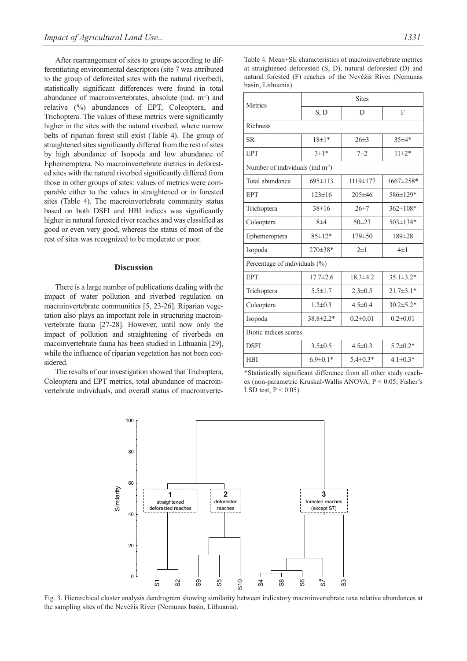After rearrangement of sites to groups according to differentiating environmental descriptors (site 7 was attributed to the group of deforested sites with the natural riverbed), statistically significant differences were found in total abundance of macroinvertebrates, absolute (ind. m<sup>-2</sup>) and relative (%) abundances of EPT, Coleoptera, and Trichoptera. The values of these metrics were significantly higher in the sites with the natural riverbed, where narrow belts of riparian forest still exist (Table 4). The group of straightened sites significantly differed from the rest of sites by high abundance of Isopoda and low abundance of Ephemeroptera. No macroinvertebrate metrics in deforested sites with the natural riverbed significantly differed from those in other groups of sites: values of metrics were comparable either to the values in straightened or in forested sites (Table 4). The macroinvertebrate community status based on both DSFI and HBI indices was significantly higher in natural forested river reaches and was classified as good or even very good, whereas the status of most of the rest of sites was recognized to be moderate or poor.

## **Discussion**

There is a large number of publications dealing with the impact of water pollution and riverbed regulation on macroinvertebrate communities [5, 23-26]. Riparian vegetation also plays an important role in structuring macroinvertebrate fauna [27-28]. However, until now only the impact of pollution and straightening of riverbeds on macoinvertebrate fauna has been studied in Lithuania [29], while the influence of riparian vegetation has not been considered.

The results of our investigation showed that Trichoptera, Coleoptera and EPT metrics, total abundance of macroinvertebrate individuals, and overall status of macroinverteTable 4. Mean±SE characteristics of macroinvertebrate metrics at straightened deforested (S, D), natural deforested (D) and natural forested (F) reaches of the Nevėžis River (Nemunas basin, Lithuania).

| Metrics                                      | <b>Sites</b>   |                |                 |  |  |  |  |
|----------------------------------------------|----------------|----------------|-----------------|--|--|--|--|
|                                              | S, D           | D              | F               |  |  |  |  |
| Richness                                     |                |                |                 |  |  |  |  |
| <b>SR</b>                                    | $18 \pm 1*$    | $26 \pm 3$     | $35 \pm 4*$     |  |  |  |  |
| <b>EPT</b>                                   | $3 \pm 1*$     | $7+2$          | $11 \pm 2*$     |  |  |  |  |
| Number of individuals (ind m <sup>-2</sup> ) |                |                |                 |  |  |  |  |
| Total abundance                              | $695 \pm 113$  | 1119±177       | $1667 \pm 258*$ |  |  |  |  |
| <b>EPT</b>                                   | $123 \pm 16$   | $205 \pm 46$   | 586±129*        |  |  |  |  |
| Trichoptera                                  | $38 \pm 16$    | $26 \pm 7$     | $362 \pm 108*$  |  |  |  |  |
| Coleoptera                                   | $8\pm4$        | $50 + 23$      | $503 \pm 134*$  |  |  |  |  |
| Ephemeroptera                                | $85 \pm 12*$   | $179 \pm 50$   | $189 \pm 28$    |  |  |  |  |
| Isopoda                                      | $270\pm38*$    | $2\pm1$        | $4\pm1$         |  |  |  |  |
| Percentage of individuals (%)                |                |                |                 |  |  |  |  |
| <b>EPT</b>                                   | $17.7 \pm 2.6$ | $18.3 \pm 4.2$ | $35.1 \pm 3.2*$ |  |  |  |  |
| Trichoptera                                  | $5.5 \pm 1.7$  | $2.3 \pm 0.5$  | $21.7\pm3.1*$   |  |  |  |  |
| Coleoptera                                   | $1.2 \pm 0.3$  | $4.5 \pm 0.4$  | $30.2 \pm 5.2*$ |  |  |  |  |
| Isopoda                                      | 38.8±2.2*      | $0.2 \pm 0.01$ | $0.2 \pm 0.01$  |  |  |  |  |
| Biotic indices scores                        |                |                |                 |  |  |  |  |
| <b>DSFI</b>                                  | $3.5 \pm 0.5$  | $4.5 \pm 0.3$  | $5.7 \pm 0.2*$  |  |  |  |  |
| <b>HBI</b>                                   | $6.9 \pm 0.1*$ | $5.4 \pm 0.3*$ | $4.1 \pm 0.3*$  |  |  |  |  |

<sup>\*</sup>Statistically significant difference from all other study reaches (non-parametric Kruskal-Wallis ANOVA, P < 0.05; Fisher's LSD test,  $P < 0.05$ ).



Fig. 3. Hierarchical cluster analysis dendrogram showing similarity between indicatory macroinvertebrate taxa relative abundances at the sampling sites of the Nevėžis River (Nemunas basin, Lithuania).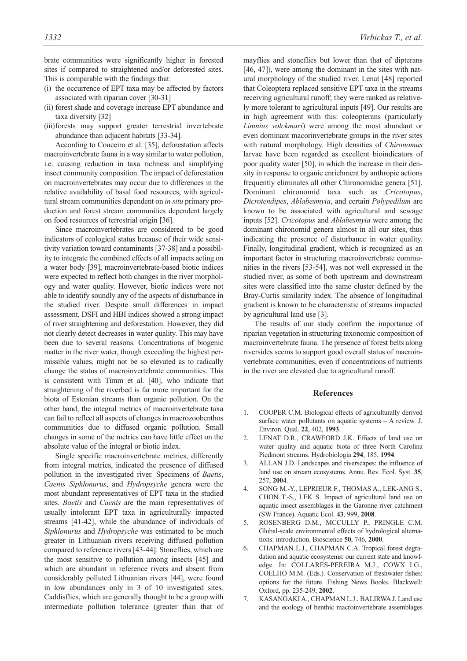brate communities were significantly higher in forested sites if compared to straightened and/or deforested sites. This is comparable with the findings that:

- (i) the occurrence of EPT taxa may be affected by factors associated with riparian cover [30-31]
- (ii) forest shade and coverage increase EPT abundance and taxa diversity [32]
- (iii)forests may support greater terrestrial invertebrate abundance than adjacent habitats [33-34].

According to Couceiro et al. [35], deforestation affects macroinvertebrate fauna in a way similar to water pollution, i.e. causing reduction in taxa richness and simplifying insect community composition. The impact of deforestation on macroinvertebrates may occur due to differences in the relative availability of basal food resources, with agricultural stream communities dependent on *in situ* primary production and forest stream communities dependent largely on food resources of terrestrial origin [36].

Since macroinvertebrates are considered to be good indicators of ecological status because of their wide sensitivity variation toward contaminants [37-38] and a possibility to integrate the combined effects of all impacts acting on a water body [39], macroinvertebrate-based biotic indices were expected to reflect both changes in the river morphology and water quality. However, biotic indices were not able to identify soundly any of the aspects of disturbance in the studied river. Despite small differences in impact assessment, DSFI and HBI indices showed a strong impact of river straightening and deforestation. However, they did not clearly detect decreases in water quality. This may have been due to several reasons. Concentrations of biogenic matter in the river water, though exceeding the highest permissible values, might not be so elevated as to radically change the status of macroinvertebrate communities. This is consistent with Timm et al. [40], who indicate that straightening of the riverbed is far more important for the biota of Estonian streams than organic pollution. On the other hand, the integral metrics of macroinvertebrate taxa can fail to reflect all aspects of changes in macrozoobenthos communities due to diffused organic pollution. Small changes in some of the metrics can have little effect on the absolute value of the integral or biotic index.

Single specific macroinvertebrate metrics, differently from integral metrics, indicated the presence of diffused pollution in the investigated river. Specimens of *Baetis*, *Caenis Siphlonurus*, and *Hydropsyche* genera were the most abundant representatives of EPT taxa in the studied sites. *Baetis* and *Caenis* are the main representatives of usually intolerant EPT taxa in agriculturally impacted streams [41-42], while the abundance of individuals of *Siphlonurus* and *Hydropsyche* was estimated to be much greater in Lithuanian rivers receiving diffused pollution compared to reference rivers [43-44]. Stoneflies, which are the most sensitive to pollution among insects [45] and which are abundant in reference rivers and absent from considerably polluted Lithuanian rivers [44], were found in low abundances only in 3 of 10 investigated sites. Caddisflies, which are generally thought to be a group with intermediate pollution tolerance (greater than that of

mayflies and stoneflies but lower than that of dipterans [46, 47]), were among the dominant in the sites with natural morphology of the studied river. Lenat [48] reported that Coleoptera replaced sensitive EPT taxa in the streams receiving agricultural runoff; they were ranked as relatively more tolerant to agricultural inputs [49]. Our results are in high agreement with this: coleopterans (particularly *Limnius volckmari*) were among the most abundant or even dominant macorinvertebrate groups in the river sites with natural morphology. High densities of *Chironomus* larvae have been regarded as excellent bioindicators of poor quality water [50], in which the increase in their density in response to organic enrichment by anthropic actions frequently eliminates all other Chironomidae genera [51]. Dominant chironomid taxa such as *Cricotopus*, *Dicrotendipes*, *Ablabesmyia*, and certain *Polypedilum* are known to be associated with agricultural and sewage inputs [52]. *Cricotopus* and *Ablabesmyia* were among the dominant chironomid genera almost in all our sites, thus indicating the presence of disturbance in water quality. Finally, longitudinal gradient, which is recognized as an important factor in structuring macroinvertebrate communities in the rivers [53-54], was not well expressed in the studied river, as some of both upstream and downstream sites were classified into the same cluster defined by the Bray-Curtis similarity index. The absence of longitudinal gradient is known to be characteristic of streams impacted by agricultural land use [3].

The results of our study confirm the importance of riparian vegetation in structuring taxonomic composition of macroinvertebrate fauna. The presence of forest belts along riversides seems to support good overall status of macroinvertebrate communities, even if concentrations of nutrients in the river are elevated due to agricultural runoff.

#### **References**

- 1. COOPER C.M. Biological effects of agriculturally derived surface water pollutants on aquatic systems – A review. J. Environ. Qual. **22**, 402, **1993**.
- 2. LENAT D.R., CRAWFORD J.K. Effects of land use on water quality and aquatic biota of three North Carolina Piedmont streams. Hydrobiologia **294**, 185, **1994**.
- 3. ALLAN J.D. Landscapes and riverscapes: the influence of land use on stream ecosystems. Annu. Rev. Ecol. Syst. **35**, 257, **2004**.
- 4. SONG M.-Y., LEPRIEUR F., THOMAS A., LEK-ANG S., CHON T.-S., LEK S. Impact of agricultural land use on aquatic insect assemblages in the Garonne river catchment (SW France). Aquatic Ecol. **43**, 999, **2008**.
- 5. ROSENBERG D.M., MCCULLY P., PRINGLE C.M. Global-scale environmental effects of hydrological alternations: introduction. Bioscience **50**, 746, **2000**.
- 6. CHAPMAN L.J., CHAPMAN C.A. Tropical forest degradation and aquatic ecosystems: our current state and knowledge. In: COLLARES-PEREIRA M.J., COWX I.G., COELHO M.M. (Eds.). Conservation of freshwater fishes: options for the future. Fishing News Books. Blackwell: Oxford, pp. 235-249, **2002**.
- 7. KASANGAKI A., CHAPMAN L.J., BALIRWA J. Land use and the ecology of benthic macroinvertebrate assemblages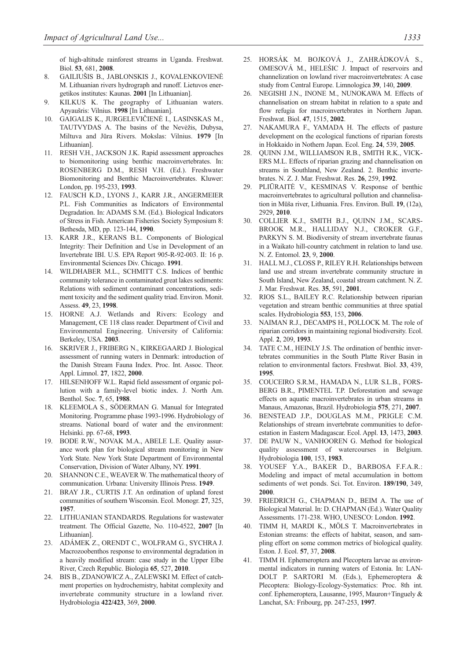of high-altitude rainforest streams in Uganda. Freshwat. Biol. **53**, 681, **2008**.

- 8. GAILIUŠIS B., JABLONSKIS J., KOVALENKOVIENĖ M. Lithuanian rivers hydrograph and runoff. Lietuvos energetikos institutes: Kaunas. **2001** [In Lithuanian].
- 9. KILKUS K. The geography of Lithuanian waters. Apyaušris: Vilnius. **1998** [In Lithuanian].
- 10. GAIGALIS K., JURGELEVIČIENĖ I., LASINSKAS M., TAUTVYDAS A. The basins of the Nevėžis, Dubysa, Miltuva and Jūra Rivers. Mokslas: Vilnius. **1979** [In Lithuanian].
- 11. RESH V.H., JACKSON J.K. Rapid assessment approaches to biomonitoring using benthic macroinvertebrates. In: ROSENBERG D.M., RESH V.H. (Ed.). Freshwater Biomonitoring and Benthic Macroinvertebrates. Kluwer: London, pp. 195-233, **1993**.
- 12. FAUSCH K.D., LYONS J., KARR J.R., ANGERMEIER P.L. Fish Communities as Indicators of Environmental Degradation. In: ADAMS S.M. (Ed.). Biological Indicators of Stress in Fish. American Fisheries Society Symposium 8: Bethesda, MD, pp. 123-144, **1990**.
- 13. KARR J.R., KERANS B.L. Components of Biological Integrity: Their Definition and Use in Development of an Invertebrate IBI. U.S. EPA Report 905-R-92-003. II: 16 p. Environmental Sciences Div. Chicago. **1991**.
- 14. WILDHABER M.L., SCHMITT C.S. Indices of benthic community tolerance in contaminated great lakes sediments: Relations with sediment contaminant concentrations, sediment toxicity and the sediment quality triad. Environ. Monit. Assess. **49**, 23, **1998**.
- 15. HORNE A.J. Wetlands and Rivers: Ecology and Management, CE 118 class reader. Department of Civil and Environmental Engineering. University of California: Berkeley, USA. **2003**.
- 16. SKRIVER J., FRIBERG N., KIRKEGAARD J. Biological assessment of running waters in Denmark: introduction of the Danish Stream Fauna Index. Proc. Int. Assoc. Theor. Appl. Limnol. **27**, 1822, **2000**.
- 17. HILSENHOFF W.L. Rapid field assessment of organic pollution with a family-level biotic index. J. North Am. Benthol. Soc. **7**, 65, **1988**.
- 18. KLEEMOLA S., SÖDERMAN G. Manual for Integrated Monitoring. Programme phase 1993-1996. Hydrobiology of streams. National board of water and the environment: Helsinki. pp. 67-68, **1993**.
- 19. BODE R.W., NOVAK M.A., ABELE L.E. Quality assurance work plan for biological stream monitoring in New York State. New York State Department of Environmental Conservation, Division of Water Albany, NY. **1991**.
- 20. SHANNON C.E., WEAVER W. The mathematical theory of communication. Urbana: University Illinois Press. **1949**.
- 21. BRAY J.R., CURTIS J.T. An ordination of upland forest communities of southern Wisconsin. Ecol. Monogr. **27**, 325, **1957**.
- 22. LITHUANIAN STANDARDS. Regulations for wastewater treatment. The Official Gazette, No. 110-4522, **2007** [In Lithuanian].
- 23. ADÁMEK Z., ORENDT C., WOLFRAM G., SYCHRA J. Macrozoobenthos response to environmental degradation in a heavily modified stream: case study in the Upper Elbe River, Czech Republic. Biologia **65**, 527, **2010**.
- BIS B., ZDANOWICZ A., ZALEWSKI M. Effect of catchment properties on hydrochemistry, habitat complexity and invertebrate community structure in a lowland river. Hydrobiologia **422/423**, 369, **2000**.
- 25. HORSÁK M. BOJKOVÁ J., ZAHRÁDKOVÁ S., OMESOVÁ M., HELEŚIC J. Impact of reservoirs and channelization on lowland river macroinvertebrates: A case study from Central Europe. Limnologica **39**, 140, **2009**.
- 26. NEGISHI J.N., INONE M., NUNOKAWA M. Effects of channelisation on stream habitat in relation to a spate and flow refugia for macroinvertebrates in Northern Japan. Freshwat. Biol. **47**, 1515, **2002**.
- 27. NAKAMURA F., YAMADA H. The effects of pasture development on the ecological functions of riparian forests in Hokkaido in Nothern Japan. Ecol. Eng. **24**, 539, **2005**.
- 28. QUINN J.M., WILLIAMSON R.B., SMITH R.K., VICK-ERS M.L. Effects of riparian grazing and channelisation on streams in Southland, New Zealand. 2. Benthic invertebrates. N. Z. J. Mar. Freshwat. Res. **26**, 259, **1992**.
- 29. PLIŪRAITĖ V., KESMINAS V. Response of benthic macroinvertebrates to agricultural pollution and channelisation in Mūša river, Lithuania. Fres. Environ. Bull. **19**, (12a), 2929, **2010**.
- 30. COLLIER K.J., SMITH B.J., QUINN J.M., SCARS-BROOK M.R., HALLIDAY N.J., CROKER G.F., PARKYN S. M. Biodiversity of stream invertebrate faunas in a Waikato hill-country catchment in relation to land use. N. Z. Entomol. **23**, 9, **2000**.
- 31. HALL M.J., CLOSS P., RILEY R.H. Relationships between land use and stream invertebrate community structure in South Island, New Zealand, coastal stream catchment. N. Z. J. Mar. Freshwat. Res. **35**, 591, **2001**.
- 32. RIOS S.L., BAILEY R.C. Relationship between riparian vegetation and stream benthic communities at three spatial scales. Hydrobiologia **553**, 153, **2006**.
- 33. NAIMAN R.J., DECAMPS H., POLLOCK M. The role of riparian corridors in maintaining regional biodiversity. Ecol. Appl. **2**, 209, **1993**.
- 34. TATE C.M., HEINLY J.S. The ordination of benthic invertebrates communities in the South Platte River Basin in relation to environmental factors. Freshwat. Biol. **33**, 439, **1995**.
- 35. COUCEIRO S.R.M., HAMADA N., LUR S.L.B., FORS-BERG B.R., PIMENTEL T.P. Deforestation and sewage effects on aquatic macroinvertebrates in urban streams in Manaus, Amazonas, Brazil. Hydrobiologia **575**, 271, **2007**.
- 36. BENSTEAD J.P., DOUGLAS M.M., PRIGLE C.M. Relationships of stream invertebrate communities to deforestation in Eastern Madagascar. Ecol. Appl. **13**, 1473, **2003**.
- 37. DE PAUW N., VANHOOREN G. Method for biological quality assessment of watercourses in Belgium. Hydrobiologia **100**, 153, **1983**.
- 38. YOUSEF Y.A., BAKER D., BARBOSA F.F.A.R.: Modeling and impact of metal accumulation in bottom sediments of wet ponds. Sci. Tot. Environ. **189/190**, 349, **2000**.
- 39. FRIEDRICH G., CHAPMAN D., BEIM A. The use of Biological Material. In: D. CHAPMAN (Ed.). Water Quality Assessments. 171-238. WHO, UNESCO: London. **1992**.
- 40. TIMM H, MARDI K., MÖLS T. Macroinvertebrates in Estonian streams: the effects of habitat, season, and sampling effort on some common metrics of biological quality. Eston. J. Ecol. **57**, 37, **2008**.
- 41. TIMM H. Ephemeroptera and Plecoptera larvae as environmental indicators in running waters of Estonia. In: LAN-DOLT P. SARTORI M. (Eds.), Ephemeroptera & Plecoptera: Biology-Ecology-Systematics: Proc. 8th int. conf. Ephemeroptera, Lausanne, 1995, Mauron+Tinguely & Lanchat, SA: Fribourg, pp. 247-253, **1997**.